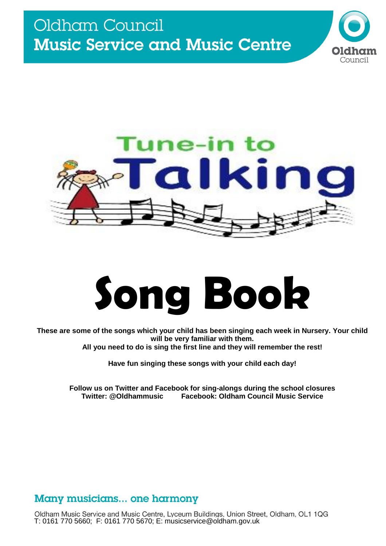

Counci

# **Song Book**

**These are some of the songs which your child has been singing each week in Nursery. Your child will be very familiar with them. All you need to do is sing the first line and they will remember the rest!** 

**Have fun singing these songs with your child each day!**

**Follow us on Twitter and Facebook for sing-alongs during the school closures Facebook: Oldham Council Music Service** 

# Many musicians... one harmony

Oldham Music Service and Music Centre, Lyceum Buildings, Union Street, Oldham, OL1 1QG T: 0161 770 5660; F: 0161 770 5670; E: musicservice@oldham.gov.uk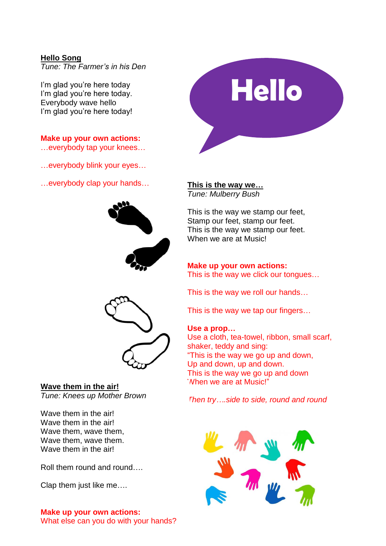## **Hello Song**

*Tune: The Farmer's in his Den*

I'm glad you're here today I'm glad you're here today. Everybody wave hello I'm glad you're here today!

**Make up your own actions:**

…everybody tap your knees…

…everybody blink your eyes…

…everybody clap your hands… **This is the way we…**



**Hello**

*Tune: Mulberry Bush*

This is the way we stamp our feet, Stamp our feet, stamp our feet. This is the way we stamp our feet. When we are at Music!

## **Make up your own actions:** This is the way we click our tongues…

This is the way we roll our hands…

This is the way we tap our fingers…

## **Use a prop…**

Use a cloth, tea-towel, ribbon, small scarf, shaker, teddy and sing: "This is the way we go up and down, Up and down, up and down. This is the way we go up and down When we are at Music!"

*Then try….side to side, round and round*



#### **Wave them in the air!** *Tune: Knees up Mother Brown*

Wave them in the air! Wave them in the air! Wave them, wave them, Wave them, wave them. Wave them in the air!

Roll them round and round….

Clap them just like me….

## **Make up your own actions:**

What else can you do with your hands?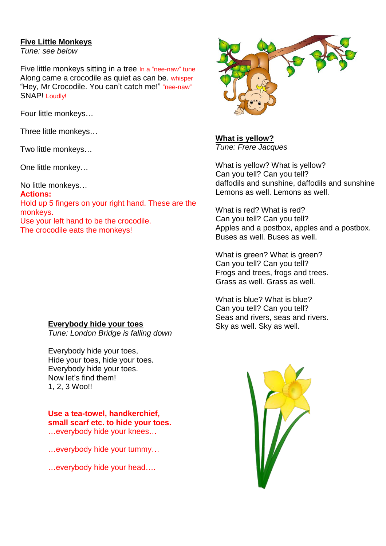## **Five Little Monkeys**

*Tune: see below*

Five little monkeys sitting in a tree In a "nee-naw" tune Along came a crocodile as quiet as can be. whisper "Hey, Mr Crocodile. You can't catch me!" "nee-naw" SNAP! Loudly!

Four little monkeys…

Three little monkeys…

Two little monkeys…

One little monkey…

No little monkeys…

**Actions:** Hold up 5 fingers on your right hand. These are the monkeys. Use your left hand to be the crocodile. The crocodile eats the monkeys!



*Tune: London Bridge is falling down*

Everybody hide your toes, Hide your toes, hide your toes. Everybody hide your toes. Now let's find them! 1, 2, 3 Woo!!

**Use a tea-towel, handkerchief, small scarf etc. to hide your toes.** …everybody hide your knees…

…everybody hide your tummy…

…everybody hide your head….



**What is yellow?** *Tune: Frere Jacques*

What is yellow? What is yellow? Can you tell? Can you tell? daffodils and sunshine, daffodils and sunshine Lemons as well. Lemons as well.

What is red? What is red? Can you tell? Can you tell? Apples and a postbox, apples and a postbox. Buses as well. Buses as well.

What is green? What is green? Can you tell? Can you tell? Frogs and trees, frogs and trees. Grass as well. Grass as well.

What is blue? What is blue? Can you tell? Can you tell? Seas and rivers, seas and rivers. Sky as well. Sky as well.